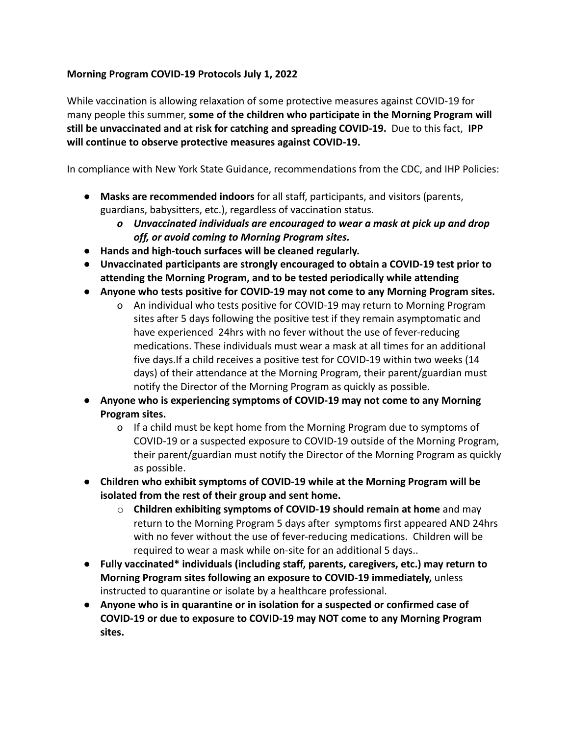## **Morning Program COVID-19 Protocols July 1, 2022**

While vaccination is allowing relaxation of some protective measures against COVID-19 for many people this summer, **some of the children who participate in the Morning Program will still be unvaccinated and at risk for catching and spreading COVID-19.** Due to this fact, **IPP will continue to observe protective measures against COVID-19.**

In compliance with New York State Guidance, recommendations from the CDC, and IHP Policies:

- **Masks are recommended indoors** for all staff, participants, and visitors (parents, guardians, babysitters, etc.), regardless of vaccination status.
	- *o Unvaccinated individuals are encouraged to wear a mask at pick up and drop off, or avoid coming to Morning Program sites.*
- **● Hands and high-touch surfaces will be cleaned regularly.**
- **● Unvaccinated participants are strongly encouraged to obtain a COVID-19 test prior to attending the Morning Program, and to be tested periodically while attending**
- **● Anyone who tests positive for COVID-19 may not come to any Morning Program sites.**
	- o An individual who tests positive for COVID-19 may return to Morning Program sites after 5 days following the positive test if they remain asymptomatic and have experienced 24hrs with no fever without the use of fever-reducing medications. These individuals must wear a mask at all times for an additional five days.If a child receives a positive test for COVID-19 within two weeks (14 days) of their attendance at the Morning Program, their parent/guardian must notify the Director of the Morning Program as quickly as possible.
- **● Anyone who is experiencing symptoms of COVID-19 may not come to any Morning Program sites.**
	- o If a child must be kept home from the Morning Program due to symptoms of COVID-19 or a suspected exposure to COVID-19 outside of the Morning Program, their parent/guardian must notify the Director of the Morning Program as quickly as possible.
- **● Children who exhibit symptoms of COVID-19 while at the Morning Program will be isolated from the rest of their group and sent home.**
	- o **Children exhibiting symptoms of COVID-19 should remain at home** and may return to the Morning Program 5 days after symptoms first appeared AND 24hrs with no fever without the use of fever-reducing medications. Children will be required to wear a mask while on-site for an additional 5 days..
- **Fully vaccinated\* individuals (including staff, parents, caregivers, etc.) may return to Morning Program sites following an exposure to COVID-19 immediately,** unless instructed to quarantine or isolate by a healthcare professional.
- **● Anyone who is in quarantine or in isolation for a suspected or confirmed case of COVID-19 or due to exposure to COVID-19 may NOT come to any Morning Program sites.**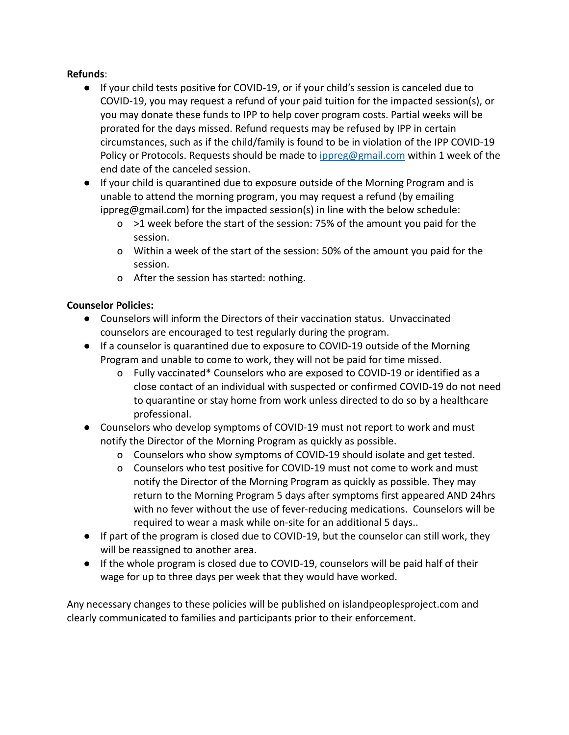## **Refunds**:

- If your child tests positive for COVID-19, or if your child's session is canceled due to COVID-19, you may request a refund of your paid tuition for the impacted session(s), or you may donate these funds to IPP to help cover program costs. Partial weeks will be prorated for the days missed. Refund requests may be refused by IPP in certain circumstances, such as if the child/family is found to be in violation of the IPP COVID-19 Policy or Protocols. Requests should be made to *[ippreg@gmail.com](mailto:ippreg@gmail.com)* within 1 week of the end date of the canceled session.
- If your child is quarantined due to exposure outside of the Morning Program and is unable to attend the morning program, you may request a refund (by emailing ippreg@gmail.com) for the impacted session(s) in line with the below schedule:
	- o >1 week before the start of the session: 75% of the amount you paid for the session.
	- o Within a week of the start of the session: 50% of the amount you paid for the session.
	- o After the session has started: nothing.

## **Counselor Policies:**

- Counselors will inform the Directors of their vaccination status. Unvaccinated counselors are encouraged to test regularly during the program.
- If a counselor is quarantined due to exposure to COVID-19 outside of the Morning Program and unable to come to work, they will not be paid for time missed.
	- o Fully vaccinated\* Counselors who are exposed to COVID-19 or identified as a close contact of an individual with suspected or confirmed COVID-19 do not need to quarantine or stay home from work unless directed to do so by a healthcare professional.
- Counselors who develop symptoms of COVID-19 must not report to work and must notify the Director of the Morning Program as quickly as possible.
	- o Counselors who show symptoms of COVID-19 should isolate and get tested.
	- o Counselors who test positive for COVID-19 must not come to work and must notify the Director of the Morning Program as quickly as possible. They may return to the Morning Program 5 days after symptoms first appeared AND 24hrs with no fever without the use of fever-reducing medications. Counselors will be required to wear a mask while on-site for an additional 5 days..
- If part of the program is closed due to COVID-19, but the counselor can still work, they will be reassigned to another area.
- If the whole program is closed due to COVID-19, counselors will be paid half of their wage for up to three days per week that they would have worked.

Any necessary changes to these policies will be published on islandpeoplesproject.com and clearly communicated to families and participants prior to their enforcement.